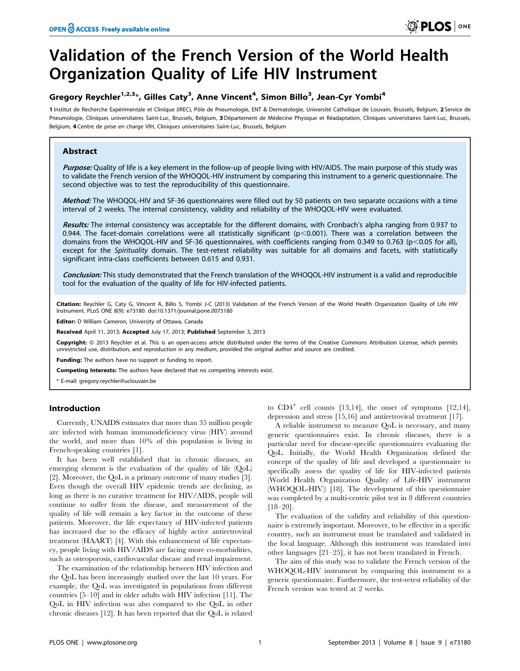# Validation of the French Version of the World Health Organization Quality of Life HIV Instrument

# Gregory Reychler $^{1,2,3}$ \*, Gilles Caty $^3$ , Anne Vincent $^4$ , Simon Billo $^3$ , Jean-Cyr Yombi $^4$

1 Institut de Recherche Expérimentale et Clinique (IREC), Pôle de Pneumologie, ENT & Dermatologie, Université Catholique de Louvain, Brussels, Belgium, 2 Service de Pneumologie, Cliniques universitaires Saint-Luc, Brussels, Belgium, 3 Département de Médecine Physique et Réadaptation, Cliniques universitaires Saint-Luc, Brussels, Belgium, 4 Centre de prise en charge VIH, Cliniques universitaires Saint-Luc, Brussels, Belgium

# **Abstract**

Purpose: Quality of life is a key element in the follow-up of people living with HIV/AIDS. The main purpose of this study was to validate the French version of the WHOQOL-HIV instrument by comparing this instrument to a generic questionnaire. The second objective was to test the reproducibility of this questionnaire.

Method: The WHOQOL-HIV and SF-36 questionnaires were filled out by 50 patients on two separate occasions with a time interval of 2 weeks. The internal consistency, validity and reliability of the WHOQOL-HIV were evaluated.

Results: The internal consistency was acceptable for the different domains, with Cronbach's alpha ranging from 0.937 to 0.944. The facet-domain correlations were all statistically significant ( $p<0.001$ ). There was a correlation between the domains from the WHOQOL-HIV and SF-36 questionnaires, with coefficients ranging from 0.349 to 0.763 (p<0.05 for all), except for the Spirituality domain. The test-retest reliability was suitable for all domains and facets, with statistically significant intra-class coefficients between 0.615 and 0.931.

Conclusion: This study demonstrated that the French translation of the WHOQOL-HIV instrument is a valid and reproducible tool for the evaluation of the quality of life for HIV-infected patients.

Citation: Reychler G, Caty G, Vincent A, Billo S, Yombi J-C (2013) Validation of the French Version of the World Health Organization Quality of Life HIV Instrument. PLoS ONE 8(9): e73180. doi:10.1371/journal.pone.0073180

Editor: D William Cameron, University of Ottawa, Canada

Received April 11, 2013; Accepted July 17, 2013; Published September 3, 2013

Copyright: © 2013 Reychler et al. This is an open-access article distributed under the terms of the Creative Commons Attribution License, which permits unrestricted use, distribution, and reproduction in any medium, provided the original author and source are credited.

Funding: The authors have no support or funding to report.

Competing Interests: The authors have declared that no competing interests exist.

\* E-mail: gregory.reychler@uclouvain.be

# Introduction

Currently, UNAIDS estimates that more than 35 million people are infected with human immunodeficiency virus (HIV) around the world, and more than 10% of this population is living in French-speaking countries [1].

It has been well established that in chronic diseases, an emerging element is the evaluation of the quality of life (QoL) [2]. Moreover, the QoL is a primary outcome of many studies [3]. Even though the overall HIV epidemic trends are declining, as long as there is no curative treatment for HIV/AIDS, people will continue to suffer from the disease, and measurement of the quality of life will remain a key factor in the outcome of these patients. Moreover, the life expectancy of HIV-infected patients has increased due to the efficacy of highly active antiretroviral treatment (HAART) [4]. With this enhancement of life expectancy, people living with HIV/AIDS are facing more co-morbidities, such as osteoporosis, cardiovascular disease and renal impairment.

The examination of the relationship between HIV infection and the QoL has been increasingly studied over the last 10 years. For example, the QoL was investigated in populations from different countries [5–10] and in older adults with HIV infection [11]. The QoL in HIV infection was also compared to the QoL in other chronic diseases [12]. It has been reported that the QoL is related

to  $CD4^+$  cell counts [13,14], the onset of symptoms [12,14], depression and stress [15,16] and antiretroviral treatment [17].

A reliable instrument to measure QoL is necessary, and many generic questionnaires exist. In chronic diseases, there is a particular need for disease-specific questionnaires evaluating the QoL. Initially, the World Health Organization defined the concept of the quality of life and developed a questionnaire to specifically assess the quality of life for HIV-infected patients (World Health Organization Quality of Life-HIV instrument (WHOQOL-HIV)) [18]. The development of this questionnaire was completed by a multi-centric pilot test in 8 different countries [18–20].

The evaluation of the validity and reliability of this questionnaire is extremely important. Moreover, to be effective in a specific country, such an instrument must be translated and validated in the local language. Although this instrument was translated into other languages [21–25], it has not been translated in French.

The aim of this study was to validate the French version of the WHOQOL-HIV instrument by comparing this instrument to a generic questionnaire. Furthermore, the test-retest reliability of the French version was tested at 2 weeks.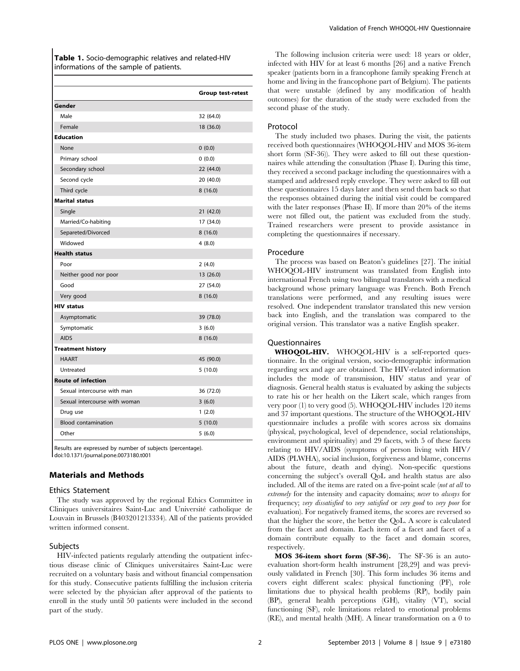Table 1. Socio-demographic relatives and related-HIV informations of the sample of patients.

|                               | <b>Group test-retest</b> |
|-------------------------------|--------------------------|
| Gender                        |                          |
| Male                          | 32 (64.0)                |
| Female                        | 18 (36.0)                |
| <b>Education</b>              |                          |
| None                          | 0(0.0)                   |
| Primary school                | 0(0.0)                   |
| Secondary school              | 22 (44.0)                |
| Second cycle                  | 20 (40.0)                |
| Third cycle                   | 8(16.0)                  |
| <b>Marital status</b>         |                          |
| Single                        | 21 (42.0)                |
| Married/Co-habiting           | 17 (34.0)                |
| Separeted/Divorced            | 8(16.0)                  |
| Widowed                       | 4(8.0)                   |
| <b>Health status</b>          |                          |
| Poor                          | 2(4.0)                   |
| Neither good nor poor         | 13 (26.0)                |
| Good                          | 27 (54.0)                |
| Very good                     | 8(16.0)                  |
| <b>HIV status</b>             |                          |
| Asymptomatic                  | 39 (78.0)                |
| Symptomatic                   | 3(6.0)                   |
| <b>AIDS</b>                   | 8(16.0)                  |
| <b>Treatment history</b>      |                          |
| <b>HAART</b>                  | 45 (90.0)                |
| Untreated                     | 5(10.0)                  |
| <b>Route of infection</b>     |                          |
| Sexual intercourse with man   | 36 (72.0)                |
| Sexual intercourse with woman | 3(6.0)                   |
| Drug use                      | 1(2.0)                   |
| <b>Blood contamination</b>    | 5(10.0)                  |
| Other                         | 5(6.0)                   |

Results are expressed by number of subjects (percentage). doi:10.1371/journal.pone.0073180.t001

# Materials and Methods

#### Ethics Statement

The study was approved by the regional Ethics Committee in Cliniques universitaires Saint-Luc and Universite´ catholique de Louvain in Brussels (B403201213334). All of the patients provided written informed consent.

#### Subjects

HIV-infected patients regularly attending the outpatient infectious disease clinic of Cliniques universitaires Saint-Luc were recruited on a voluntary basis and without financial compensation for this study. Consecutive patients fulfilling the inclusion criteria were selected by the physician after approval of the patients to enroll in the study until 50 patients were included in the second part of the study.

The following inclusion criteria were used: 18 years or older, infected with HIV for at least 6 months [26] and a native French speaker (patients born in a francophone family speaking French at home and living in the francophone part of Belgium). The patients that were unstable (defined by any modification of health outcomes) for the duration of the study were excluded from the second phase of the study.

#### Protocol

The study included two phases. During the visit, the patients received both questionnaires (WHOQOL-HIV and MOS 36-item short form (SF-36)). They were asked to fill out these questionnaires while attending the consultation (Phase I). During this time, they received a second package including the questionnaires with a stamped and addressed reply envelope. They were asked to fill out these questionnaires 15 days later and then send them back so that the responses obtained during the initial visit could be compared with the later responses (Phase II). If more than 20% of the items were not filled out, the patient was excluded from the study. Trained researchers were present to provide assistance in completing the questionnaires if necessary.

#### Procedure

The process was based on Beaton's guidelines [27]. The initial WHOQOL-HIV instrument was translated from English into international French using two bilingual translators with a medical background whose primary language was French. Both French translations were performed, and any resulting issues were resolved. One independent translator translated this new version back into English, and the translation was compared to the original version. This translator was a native English speaker.

#### Questionnaires

WHOQOL-HIV. WHOQOL-HIV is a self-reported questionnaire. In the original version, socio-demographic information regarding sex and age are obtained. The HIV-related information includes the mode of transmission, HIV status and year of diagnosis. General health status is evaluated by asking the subjects to rate his or her health on the Likert scale, which ranges from very poor (1) to very good (5). WHOQOL-HIV includes 120 items and 37 important questions. The structure of the WHOQOL-HIV questionnaire includes a profile with scores across six domains (physical, psychological, level of dependence, social relationships, environment and spirituality) and 29 facets, with 5 of these facets relating to HIV/AIDS (symptoms of person living with HIV/ AIDS (PLWHA), social inclusion, forgiveness and blame, concerns about the future, death and dying). Non-specific questions concerning the subject's overall QoL and health status are also included. All of the items are rated on a five-point scale (not at all to extremely for the intensity and capacity domains; never to always for frequency; very dissatisfied to very satisfied or very good to very poor for evaluation). For negatively framed items, the scores are reversed so that the higher the score, the better the QoL. A score is calculated from the facet and domain. Each item of a facet and facet of a domain contribute equally to the facet and domain scores, respectively.

MOS 36-item short form (SF-36). The SF-36 is an autoevaluation short-form health instrument [28,29] and was previously validated in French [30]. This form includes 36 items and covers eight different scales: physical functioning (PF), role limitations due to physical health problems (RP), bodily pain (BP), general health perceptions (GH), vitality (VT), social functioning (SF), role limitations related to emotional problems (RE), and mental health (MH). A linear transformation on a 0 to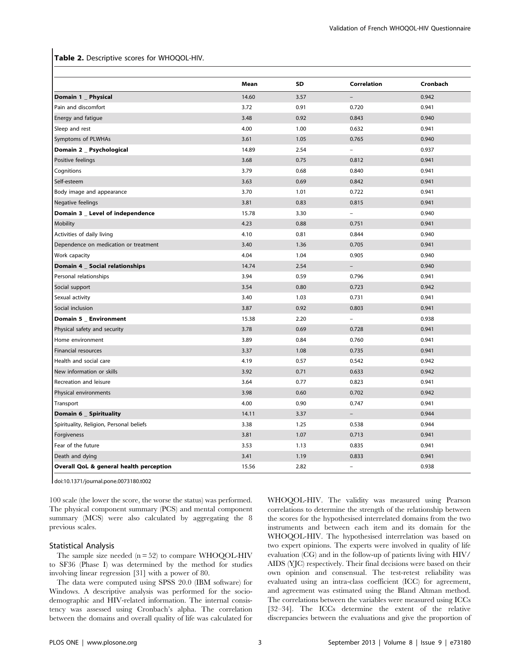#### Table 2. Descriptive scores for WHOQOL-HIV.

|                                          | Mean  | SD   | Correlation              | Cronbach |
|------------------------------------------|-------|------|--------------------------|----------|
| Domain 1 _ Physical                      | 14.60 | 3.57 | $\overline{a}$           | 0.942    |
| Pain and discomfort                      | 3.72  | 0.91 | 0.720                    | 0.941    |
| Energy and fatigue                       | 3.48  | 0.92 | 0.843                    | 0.940    |
| Sleep and rest                           | 4.00  | 1.00 | 0.632                    | 0.941    |
| Symptoms of PLWHAs                       | 3.61  | 1.05 | 0.765                    | 0.940    |
| Domain 2 _ Psychological                 | 14.89 | 2.54 | $\overline{a}$           | 0.937    |
| Positive feelings                        | 3.68  | 0.75 | 0.812                    | 0.941    |
| Cognitions                               | 3.79  | 0.68 | 0.840                    | 0.941    |
| Self-esteem                              | 3.63  | 0.69 | 0.842                    | 0.941    |
| Body image and appearance                | 3.70  | 1.01 | 0.722                    | 0.941    |
| Negative feelings                        | 3.81  | 0.83 | 0.815                    | 0.941    |
| Domain 3 _ Level of independence         | 15.78 | 3.30 | $\overline{a}$           | 0.940    |
| <b>Mobility</b>                          | 4.23  | 0.88 | 0.751                    | 0.941    |
| Activities of daily living               | 4.10  | 0.81 | 0.844                    | 0.940    |
| Dependence on medication or treatment    | 3.40  | 1.36 | 0.705                    | 0.941    |
| Work capacity                            | 4.04  | 1.04 | 0.905                    | 0.940    |
| Domain 4 _ Social relationships          | 14.74 | 2.54 | $\qquad \qquad -$        | 0.940    |
| Personal relationships                   | 3.94  | 0.59 | 0.796                    | 0.941    |
| Social support                           | 3.54  | 0.80 | 0.723                    | 0.942    |
| Sexual activity                          | 3.40  | 1.03 | 0.731                    | 0.941    |
| Social inclusion                         | 3.87  | 0.92 | 0.803                    | 0.941    |
| Domain 5 _ Environment                   | 15.38 | 2.20 | $\overline{a}$           | 0.938    |
| Physical safety and security             | 3.78  | 0.69 | 0.728                    | 0.941    |
| Home environment                         | 3.89  | 0.84 | 0.760                    | 0.941    |
| <b>Financial resources</b>               | 3.37  | 1.08 | 0.735                    | 0.941    |
| Health and social care                   | 4.19  | 0.57 | 0.542                    | 0.942    |
| New information or skills                | 3.92  | 0.71 | 0.633                    | 0.942    |
| Recreation and leisure                   | 3.64  | 0.77 | 0.823                    | 0.941    |
| Physical environments                    | 3.98  | 0.60 | 0.702                    | 0.942    |
| Transport                                | 4.00  | 0.90 | 0.747                    | 0.941    |
| Domain 6 _ Spirituality                  | 14.11 | 3.37 | $\overline{\phantom{0}}$ | 0.944    |
| Spirituality, Religion, Personal beliefs | 3.38  | 1.25 | 0.538                    | 0.944    |
| Forgiveness                              | 3.81  | 1.07 | 0.713                    | 0.941    |
| Fear of the future                       | 3.53  | 1.13 | 0.835                    | 0.941    |
| Death and dying                          | 3.41  | 1.19 | 0.833                    | 0.941    |
| Overall QoL & general health perception  | 15.56 | 2.82 |                          | 0.938    |

doi:10.1371/journal.pone.0073180.t002

100 scale (the lower the score, the worse the status) was performed. The physical component summary (PCS) and mental component summary (MCS) were also calculated by aggregating the 8 previous scales.

#### Statistical Analysis

The sample size needed  $(n = 52)$  to compare WHOQOL-HIV to SF36 (Phase I) was determined by the method for studies involving linear regression [31] with a power of 80.

The data were computed using SPSS 20.0 (IBM software) for Windows. A descriptive analysis was performed for the sociodemographic and HIV-related information. The internal consistency was assessed using Cronbach's alpha. The correlation between the domains and overall quality of life was calculated for WHOQOL-HIV. The validity was measured using Pearson correlations to determine the strength of the relationship between the scores for the hypothesised interrelated domains from the two instruments and between each item and its domain for the WHOQOL-HIV. The hypothesised interrelation was based on two expert opinions. The experts were involved in quality of life evaluation (CG) and in the follow-up of patients living with HIV/ AIDS (YJC) respectively. Their final decisions were based on their own opinion and consensual. The test-retest reliability was evaluated using an intra-class coefficient (ICC) for agreement, and agreement was estimated using the Bland Altman method. The correlations between the variables were measured using ICCs [32–34]. The ICCs determine the extent of the relative discrepancies between the evaluations and give the proportion of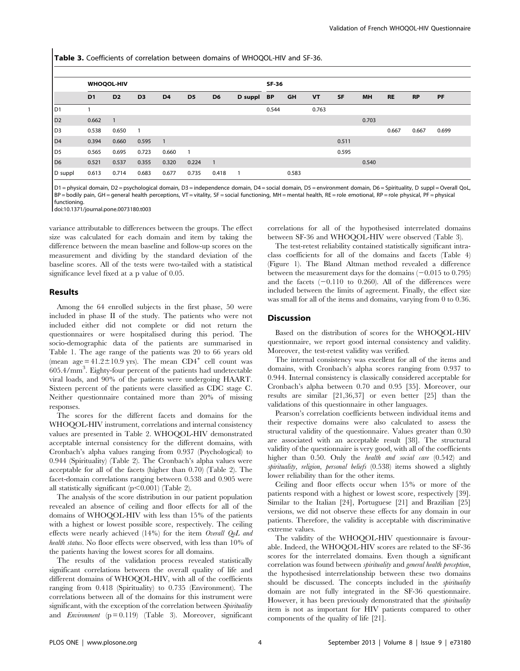Table 3. Coefficients of correlation between domains of WHOQOL-HIV and SF-36.

|                | <b>WHOQOL-HIV</b> |                |                |                |                | SF-36          |            |       |           |           |       |           |           |           |       |
|----------------|-------------------|----------------|----------------|----------------|----------------|----------------|------------|-------|-----------|-----------|-------|-----------|-----------|-----------|-------|
|                | D <sub>1</sub>    | D <sub>2</sub> | D <sub>3</sub> | D <sub>4</sub> | D <sub>5</sub> | D <sub>6</sub> | D suppl BP |       | <b>GH</b> | <b>VT</b> | SF    | <b>MH</b> | <b>RE</b> | <b>RP</b> | PF    |
| D1             |                   |                |                |                |                |                |            | 0.544 |           | 0.763     |       |           |           |           |       |
| D <sub>2</sub> | 0.662             | $\overline{1}$ |                |                |                |                |            |       |           |           |       | 0.703     |           |           |       |
| D3             | 0.538             | 0.650          | $\overline{1}$ |                |                |                |            |       |           |           |       |           | 0.667     | 0.667     | 0.699 |
| D4             | 0.394             | 0.660          | 0.595          | $\overline{1}$ |                |                |            |       |           |           | 0.511 |           |           |           |       |
| D5             | 0.565             | 0.695          | 0.723          | 0.660          | $\overline{1}$ |                |            |       |           |           | 0.595 |           |           |           |       |
| D <sub>6</sub> | 0.521             | 0.537          | 0.355          | 0.320          | 0.224          | $\overline{1}$ |            |       |           |           |       | 0.540     |           |           |       |
| D suppl        | 0.613             | 0.714          | 0.683          | 0.677          | 0.735          | 0.418          |            |       | 0.583     |           |       |           |           |           |       |

D1 = physical domain, D2 = psychological domain, D3 = independence domain, D4 = social domain, D5 = environment domain, D6 = Spirituality, D suppl = Overall QoL, BP = bodily pain, GH = general health perceptions, VT = vitality, SF = social functioning, MH = mental health, RE = role emotional, RP = role physical, PF = physical functioning.

doi:10.1371/journal.pone.0073180.t003

variance attributable to differences between the groups. The effect size was calculated for each domain and item by taking the difference between the mean baseline and follow-up scores on the measurement and dividing by the standard deviation of the baseline scores. All of the tests were two-tailed with a statistical significance level fixed at a p value of 0.05.

#### Results

Among the 64 enrolled subjects in the first phase, 50 were included in phase II of the study. The patients who were not included either did not complete or did not return the questionnaires or were hospitalised during this period. The socio-demographic data of the patients are summarised in Table 1. The age range of the patients was 20 to 66 years old (mean  $age = 41.2 \pm 10.9$  yrs). The mean  $CD4^+$  cell count was 605.4/mm<sup>3</sup> . Eighty-four percent of the patients had undetectable viral loads, and 90% of the patients were undergoing HAART. Sixteen percent of the patients were classified as CDC stage C. Neither questionnaire contained more than 20% of missing responses.

The scores for the different facets and domains for the WHOQOL-HIV instrument, correlations and internal consistency values are presented in Table 2. WHOQOL-HIV demonstrated acceptable internal consistency for the different domains, with Cronbach's alpha values ranging from 0.937 (Psychological) to 0.944 (Spirituality) (Table 2). The Cronbach's alpha values were acceptable for all of the facets (higher than 0.70) (Table 2). The facet-domain correlations ranging between 0.538 and 0.905 were all statistically significant  $(p<0.001)$  (Table 2).

The analysis of the score distribution in our patient population revealed an absence of ceiling and floor effects for all of the domains of WHOQOL-HIV with less than 15% of the patients with a highest or lowest possible score, respectively. The ceiling effects were nearly achieved (14%) for the item Overall QoL and health status. No floor effects were observed, with less than 10% of the patients having the lowest scores for all domains.

The results of the validation process revealed statistically significant correlations between the overall quality of life and different domains of WHOQOL-HIV, with all of the coefficients ranging from 0.418 (Spirituality) to 0.735 (Environment). The correlations between all of the domains for this instrument were significant, with the exception of the correlation between Spirituality and *Environment*  $(p = 0.119)$  (Table 3). Moreover, significant correlations for all of the hypothesised interrelated domains between SF-36 and WHOQOL-HIV were observed (Table 3).

The test-retest reliability contained statistically significant intraclass coefficients for all of the domains and facets (Table 4) (Figure 1). The Bland Altman method revealed a difference between the measurement days for the domains  $(-0.015 \text{ to } 0.795)$ and the facets  $(-0.110)$  to 0.260). All of the differences were included between the limits of agreement. Finally, the effect size was small for all of the items and domains, varying from 0 to 0.36.

#### **Discussion**

Based on the distribution of scores for the WHOQOL-HIV questionnaire, we report good internal consistency and validity. Moreover, the test-retest validity was verified.

The internal consistency was excellent for all of the items and domains, with Cronbach's alpha scores ranging from 0.937 to 0.944. Internal consistency is classically considered acceptable for Cronbach's alpha between 0.70 and 0.95 [35]. Moreover, our results are similar [21,36,37] or even better [25] than the validations of this questionnaire in other languages.

Pearson's correlation coefficients between individual items and their respective domains were also calculated to assess the structural validity of the questionnaire. Values greater than 0.30 are associated with an acceptable result [38]. The structural validity of the questionnaire is very good, with all of the coefficients higher than 0.50. Only the *health and social care* (0.542) and spirituality, religion, personal beliefs (0.538) items showed a slightly lower reliability than for the other items.

Ceiling and floor effects occur when 15% or more of the patients respond with a highest or lowest score, respectively [39]. Similar to the Italian [24], Portuguese [21] and Brazilian [25] versions, we did not observe these effects for any domain in our patients. Therefore, the validity is acceptable with discriminative extreme values.

The validity of the WHOQOL-HIV questionnaire is favourable. Indeed, the WHOQOL-HIV scores are related to the SF-36 scores for the interrelated domains. Even though a significant correlation was found between spirituality and general health perception, the hypothesised interrelationship between these two domains should be discussed. The concepts included in the *spirituality* domain are not fully integrated in the SF-36 questionnaire. However, it has been previously demonstrated that the *spirituality* item is not as important for HIV patients compared to other components of the quality of life [21].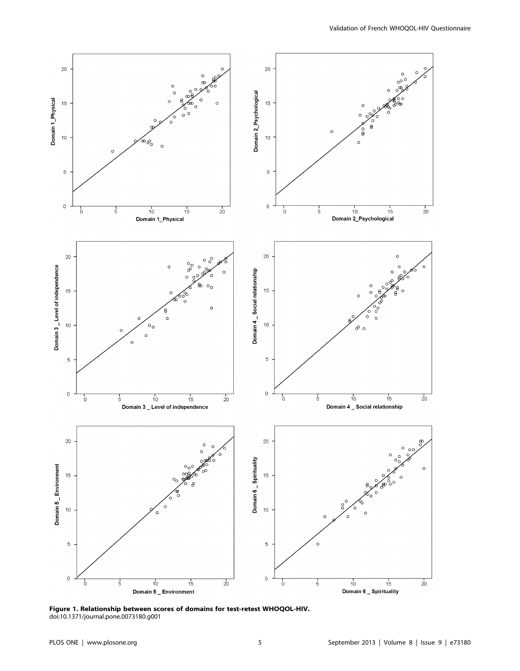

Figure 1. Relationship between scores of domains for test-retest WHOQOL-HIV. doi:10.1371/journal.pone.0073180.g001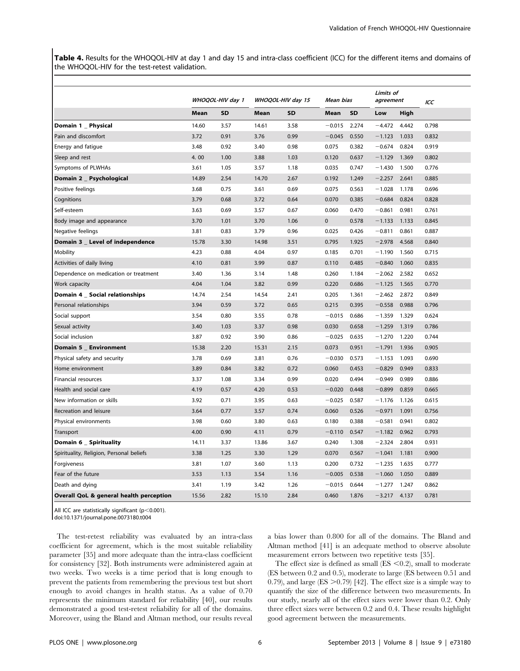Table 4. Results for the WHOQOL-HIV at day 1 and day 15 and intra-class coefficient (ICC) for the different items and domains of the WHOQOL-HIV for the test-retest validation.

|                                          | WHOQOL-HIV day 1 |           | WHOQOL-HIV day 15 |           | Mean bias   |           | Limits of<br>agreement |       | ICC   |
|------------------------------------------|------------------|-----------|-------------------|-----------|-------------|-----------|------------------------|-------|-------|
|                                          | Mean             | <b>SD</b> | Mean              | <b>SD</b> | Mean        | <b>SD</b> | Low                    | High  |       |
| Domain 1 _ Physical                      | 14.60            | 3.57      | 14.61             | 3.58      | $-0.015$    | 2.274     | $-4.472$               | 4.442 | 0.798 |
| Pain and discomfort                      | 3.72             | 0.91      | 3.76              | 0.99      | $-0.045$    | 0.550     | $-1.123$               | 1.033 | 0.832 |
| Energy and fatigue                       | 3.48             | 0.92      | 3.40              | 0.98      | 0.075       | 0.382     | $-0.674$               | 0.824 | 0.919 |
| Sleep and rest                           | 4.00             | 1.00      | 3.88              | 1.03      | 0.120       | 0.637     | $-1.129$               | 1.369 | 0.802 |
| Symptoms of PLWHAs                       | 3.61             | 1.05      | 3.57              | 1.18      | 0.035       | 0.747     | $-1.430$               | 1.500 | 0.776 |
| Domain 2 _ Psychological                 | 14.89            | 2.54      | 14.70             | 2.67      | 0.192       | 1.249     | $-2.257$               | 2.641 | 0.885 |
| Positive feelings                        | 3.68             | 0.75      | 3.61              | 0.69      | 0.075       | 0.563     | $-1.028$               | 1.178 | 0.696 |
| Cognitions                               | 3.79             | 0.68      | 3.72              | 0.64      | 0.070       | 0.385     | $-0.684$               | 0.824 | 0.828 |
| Self-esteem                              | 3.63             | 0.69      | 3.57              | 0.67      | 0.060       | 0.470     | $-0.861$               | 0.981 | 0.761 |
| Body image and appearance                | 3.70             | 1.01      | 3.70              | 1.06      | $\mathbf 0$ | 0.578     | $-1.133$               | 1.133 | 0.845 |
| Negative feelings                        | 3.81             | 0.83      | 3.79              | 0.96      | 0.025       | 0.426     | $-0.811$               | 0.861 | 0.887 |
| Domain 3 _ Level of independence         | 15.78            | 3.30      | 14.98             | 3.51      | 0.795       | 1.925     | $-2.978$               | 4.568 | 0.840 |
| Mobility                                 | 4.23             | 0.88      | 4.04              | 0.97      | 0.185       | 0.701     | $-1.190$               | 1.560 | 0.715 |
| Activities of daily living               | 4.10             | 0.81      | 3.99              | 0.87      | 0.110       | 0.485     | $-0.840$               | 1.060 | 0.835 |
| Dependence on medication or treatment    | 3.40             | 1.36      | 3.14              | 1.48      | 0.260       | 1.184     | $-2.062$               | 2.582 | 0.652 |
| Work capacity                            | 4.04             | 1.04      | 3.82              | 0.99      | 0.220       | 0.686     | $-1.125$               | 1.565 | 0.770 |
| Domain 4 _ Social relationships          | 14.74            | 2.54      | 14.54             | 2.41      | 0.205       | 1.361     | $-2.462$               | 2.872 | 0.849 |
| Personal relationships                   | 3.94             | 0.59      | 3.72              | 0.65      | 0.215       | 0.395     | $-0.558$               | 0.988 | 0.796 |
| Social support                           | 3.54             | 0.80      | 3.55              | 0.78      | $-0.015$    | 0.686     | $-1.359$               | 1.329 | 0.624 |
| Sexual activity                          | 3.40             | 1.03      | 3.37              | 0.98      | 0.030       | 0.658     | $-1.259$               | 1.319 | 0.786 |
| Social inclusion                         | 3.87             | 0.92      | 3.90              | 0.86      | $-0.025$    | 0.635     | $-1.270$               | 1.220 | 0.744 |
| Domain 5 _ Environment                   | 15.38            | 2.20      | 15.31             | 2.15      | 0.073       | 0.951     | $-1.791$               | 1.936 | 0.905 |
| Physical safety and security             | 3.78             | 0.69      | 3.81              | 0.76      | $-0.030$    | 0.573     | $-1.153$               | 1.093 | 0.690 |
| Home environment                         | 3.89             | 0.84      | 3.82              | 0.72      | 0.060       | 0.453     | $-0.829$               | 0.949 | 0.833 |
| Financial resources                      | 3.37             | 1.08      | 3.34              | 0.99      | 0.020       | 0.494     | $-0.949$               | 0.989 | 0.886 |
| Health and social care                   | 4.19             | 0.57      | 4.20              | 0.53      | $-0.020$    | 0.448     | $-0.899$               | 0.859 | 0.665 |
| New information or skills                | 3.92             | 0.71      | 3.95              | 0.63      | $-0.025$    | 0.587     | $-1.176$               | 1.126 | 0.615 |
| Recreation and leisure                   | 3.64             | 0.77      | 3.57              | 0.74      | 0.060       | 0.526     | $-0.971$               | 1.091 | 0.756 |
| Physical environments                    | 3.98             | 0.60      | 3.80              | 0.63      | 0.180       | 0.388     | $-0.581$               | 0.941 | 0.802 |
| Transport                                | 4.00             | 0.90      | 4.11              | 0.79      | $-0.110$    | 0.547     | $-1.182$               | 0.962 | 0.793 |
| Domain 6 _ Spirituality                  | 14.11            | 3.37      | 13.86             | 3.67      | 0.240       | 1.308     | $-2.324$               | 2.804 | 0.931 |
| Spirituality, Religion, Personal beliefs | 3.38             | 1.25      | 3.30              | 1.29      | 0.070       | 0.567     | $-1.041$               | 1.181 | 0.900 |
| Forgiveness                              | 3.81             | 1.07      | 3.60              | 1.13      | 0.200       | 0.732     | $-1.235$               | 1.635 | 0.777 |
| Fear of the future                       | 3.53             | 1.13      | 3.54              | 1.16      | $-0.005$    | 0.538     | $-1.060$               | 1.050 | 0.889 |
| Death and dying                          | 3.41             | 1.19      | 3.42              | 1.26      | $-0.015$    | 0.644     | $-1.277$               | 1.247 | 0.862 |
| Overall QoL & general health perception  | 15.56            | 2.82      | 15.10             | 2.84      | 0.460       | 1.876     | $-3.217$               | 4.137 | 0.781 |

All ICC are statistically significant ( $p<0.001$ ).

doi:10.1371/journal.pone.0073180.t004

The test-retest reliability was evaluated by an intra-class coefficient for agreement, which is the most suitable reliability parameter [35] and more adequate than the intra-class coefficient for consistency [32]. Both instruments were administered again at two weeks. Two weeks is a time period that is long enough to prevent the patients from remembering the previous test but short enough to avoid changes in health status. As a value of 0.70 represents the minimum standard for reliability [40], our results demonstrated a good test-retest reliability for all of the domains. Moreover, using the Bland and Altman method, our results reveal

a bias lower than 0.800 for all of the domains. The Bland and Altman method [41] is an adequate method to observe absolute measurement errors between two repetitive tests [35].

The effect size is defined as small  $(ES < 0.2)$ , small to moderate (ES between 0.2 and 0.5), moderate to large (ES between 0.51 and 0.79), and large (ES  $>$  0.79) [42]. The effect size is a simple way to quantify the size of the difference between two measurements. In our study, nearly all of the effect sizes were lower than 0.2. Only three effect sizes were between 0.2 and 0.4. These results highlight good agreement between the measurements.